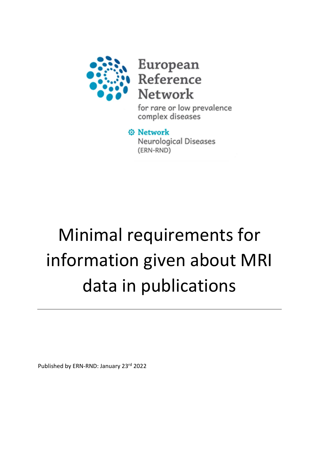

European Reference **Network** 

for rare or low prevalence complex diseases

*<b>@* Network Neurological Diseases (ERN-RND)

# Minimal requirements for information given about MRI data in publications

Published by ERN-RND: January 23rd 2022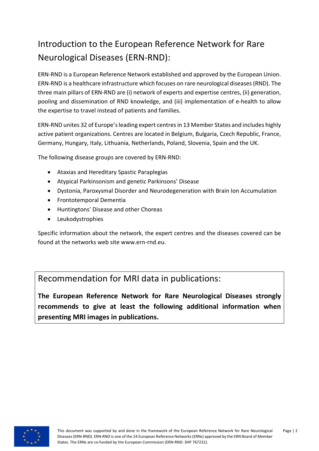# Introduction to the European Reference Network for Rare Neurological Diseases (ERN-RND):

ERN-RND is a European Reference Network established and approved by the European Union. ERN-RND is a healthcare infrastructure which focuses on rare neurological diseases (RND). The three main pillars of ERN-RND are (i) network of experts and expertise centres, (ii) generation, pooling and dissemination of RND knowledge, and (iii) implementation of e-health to allow the expertise to travel instead of patients and families.

ERN-RND unites 32 of Europe's leading expert centres in 13 Member States and includes highly active patient organizations. Centres are located in Belgium, Bulgaria, Czech Republic, France, Germany, Hungary, Italy, Lithuania, Netherlands, Poland, Slovenia, Spain and the UK.

The following disease groups are covered by ERN-RND:

- Ataxias and Hereditary Spastic Paraplegias
- Atypical Parkinsonism and genetic Parkinsons' Disease
- Dystonia, Paroxysmal Disorder and Neurodegeneration with Brain Ion Accumulation
- Frontotemporal Dementia
- Huntingtons' Disease and other Choreas
- Leukodystrophies

Specific information about the network, the expert centres and the diseases covered can be found at the networks web site www.ern-rnd.eu.

Recommendation for MRI data in publications:

The European Reference Network for Rare Neurological Diseases strongly recommends to give at least the following additional information when presenting MRI images in publications.

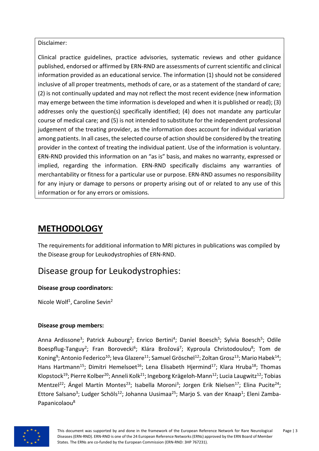Disclaimer:

Clinical practice guidelines, practice advisories, systematic reviews and other guidance published, endorsed or affirmed by ERN-RND are assessments of current scientific and clinical information provided as an educational service. The information (1) should not be considered inclusive of all proper treatments, methods of care, or as a statement of the standard of care; (2) is not continually updated and may not reflect the most recent evidence (new information may emerge between the time information is developed and when it is published or read); (3) addresses only the question(s) specifically identified; (4) does not mandate any particular course of medical care; and (5) is not intended to substitute for the independent professional judgement of the treating provider, as the information does account for individual variation among patients. In all cases, the selected course of action should be considered by the treating provider in the context of treating the individual patient. Use of the information is voluntary. ERN-RND provided this information on an "as is" basis, and makes no warranty, expressed or implied, regarding the information. ERN-RND specifically disclaims any warranties of merchantability or fitness for a particular use or purpose. ERN-RND assumes no responsibility for any injury or damage to persons or property arising out of or related to any use of this information or for any errors or omissions.

# **METHODOLOGY**

The requirements for additional information to MRI pictures in publications was compiled by the Disease group for Leukodystrophies of ERN-RND.

## Disease group for Leukodystrophies:

### Disease group coordinators:

Nicole Wolf<sup>1</sup>, Caroline Sevin<sup>2</sup>

### Disease group members:

Anna Ardissone<sup>3</sup>; Patrick Aubourg<sup>2</sup>; Enrico Bertini<sup>4</sup>; Daniel Boesch<sup>5</sup>; Sylvia Boesch<sup>5</sup>; Odile Boespflug-Tanguy<sup>2</sup>; Fran Borovecki<sup>6</sup>; Klára Brožová<sup>7</sup>; Kyproula Christodoulou<sup>8</sup>; Tom de Koning<sup>9</sup>; Antonio Federico<sup>10</sup>; Ieva Glazere<sup>11</sup>; Samuel Gröschel<sup>12</sup>; Zoltan Grosz<sup>13</sup>; Mario Habek<sup>14</sup>; Hans Hartmann<sup>15</sup>; Dimitri Hemelsoet<sup>16</sup>; Lena Elisabeth Hjermind<sup>17</sup>; Klara Hruba<sup>18</sup>; Thomas Klopstock<sup>19</sup>; Pierre Kolber<sup>20</sup>; Anneli Kolk<sup>21</sup>; Ingeborg Krägeloh-Mann<sup>12</sup>; Lucia Laugwitz<sup>12</sup>; Tobias Mentzel<sup>22</sup>; Ángel Martín Montes<sup>23</sup>; Isabella Moroni<sup>3</sup>; Jorgen Erik Nielsen<sup>17</sup>; Elina Pucite<sup>24</sup>; Ettore Salsano<sup>3</sup>; Ludger Schöls<sup>12</sup>; Johanna Uusimaa<sup>25</sup>; Marjo S. van der Knaap<sup>1</sup>; Eleni Zamba-Papanicolaou8

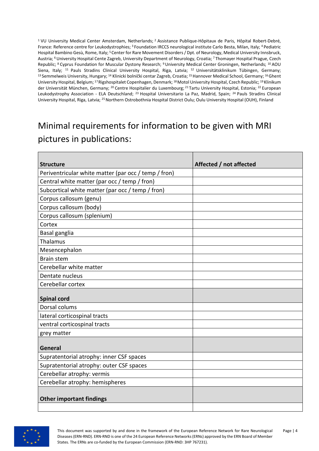<sup>1</sup> VU University Medical Center Amsterdam, Netherlands;<sup>2</sup> Assistance Publique-Hôpitaux de Paris, Hôpital Robert-Debré, France: Reference centre for Leukodystrophies; <sup>3</sup> Foundation IRCCS neurological institute Carlo Besta, Milan, Italy; <sup>4</sup> Pediatric Hospital Bambino Gesù, Rome, Italy: <sup>5</sup> Center for Rare Movement Disorders / Dpt. of Neurology, Medical University Innsbruck, Austria; <sup>6</sup>University Hospital Cente Zagreb, University Department of Neurology, Croatia; <sup>7</sup>Thomayer Hospital Prague, Czech Republic; <sup>8</sup> Cyprus Foundation for Muscular Dystony Research; <sup>9</sup> University Medical Center Groningen, Netherlands; <sup>10</sup> AOU Siena, Italy; <sup>11</sup> Pauls Stradins Clinical University Hospital, Riga, Latvia; <sup>12</sup> Universitätsklinikum Tübingen, Germany; 13 Semmelweis University, Hungary; <sup>14</sup> Klinicki bolnički centar Zagreb, Croatia; <sup>15</sup> Hannover Medical School, Germany; <sup>16</sup> Ghent University Hospital, Belgium; <sup>17</sup>Rigshospitalet Copenhagen, Denmark; <sup>18</sup> Motol University Hospital, Czech Republic; <sup>19</sup>Klinikum der Universität München, Germany; <sup>20</sup> Centre Hospitalier du Luxembourg; <sup>21</sup> Tartu University Hospital, Estonia; <sup>22</sup> European Leukodystrophy Association - ELA Deutschland; <sup>23</sup> Hospital Universitario La Paz, Madrid, Spain; <sup>24</sup> Pauls Stradins Clinical University Hospital, Riga, Latvia; <sup>25</sup> Northern Ostrobothnia Hospital District Oulu; Oulu University Hospital (OUH), Finland

# Minimal requirements for information to be given with MRI pictures in publications:

| <b>Structure</b>                                     | Affected / not affected |
|------------------------------------------------------|-------------------------|
| Periventricular white matter (par occ / temp / fron) |                         |
| Central white matter (par occ / temp / fron)         |                         |
| Subcortical white matter (par occ / temp / fron)     |                         |
| Corpus callosum (genu)                               |                         |
| Corpus callosum (body)                               |                         |
| Corpus callosum (splenium)                           |                         |
| Cortex                                               |                         |
| Basal ganglia                                        |                         |
| Thalamus                                             |                         |
| Mesencephalon                                        |                         |
| <b>Brain stem</b>                                    |                         |
| Cerebellar white matter                              |                         |
| Dentate nucleus                                      |                         |
| Cerebellar cortex                                    |                         |
| <b>Spinal cord</b>                                   |                         |
| Dorsal colums                                        |                         |
| lateral corticospinal tracts                         |                         |
| ventral corticospinal tracts                         |                         |
| grey matter                                          |                         |
|                                                      |                         |
| General                                              |                         |
| Supratentorial atrophy: inner CSF spaces             |                         |
| Supratentorial atrophy: outer CSF spaces             |                         |
| Cerebellar atrophy: vermis                           |                         |
| Cerebellar atrophy: hemispheres                      |                         |
|                                                      |                         |
| <b>Other important findings</b>                      |                         |
|                                                      |                         |